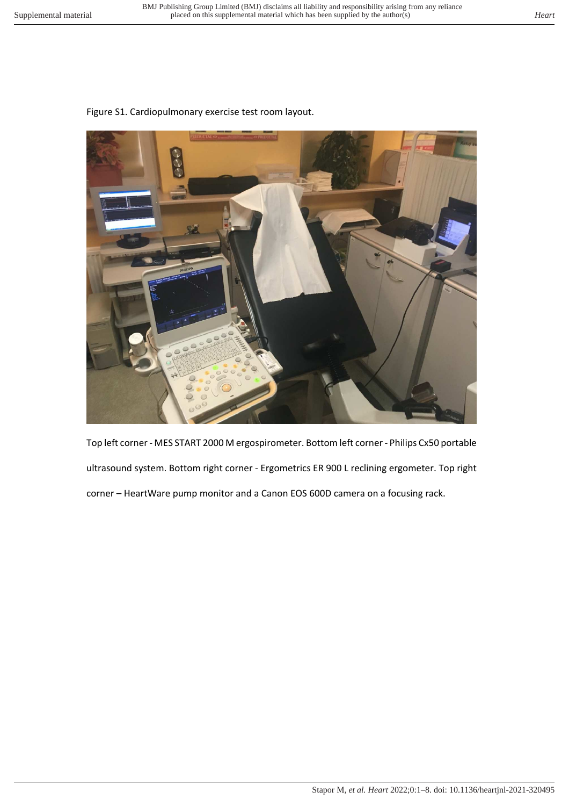## Figure S1. Cardiopulmonary exercise test room layout.



Top left corner - MES START 2000 M ergospirometer. Bottom left corner - Philips Cx50 portable ultrasound system. Bottom right corner - Ergometrics ER 900 L reclining ergometer. Top right corner – HeartWare pump monitor and a Canon EOS 600D camera on a focusing rack.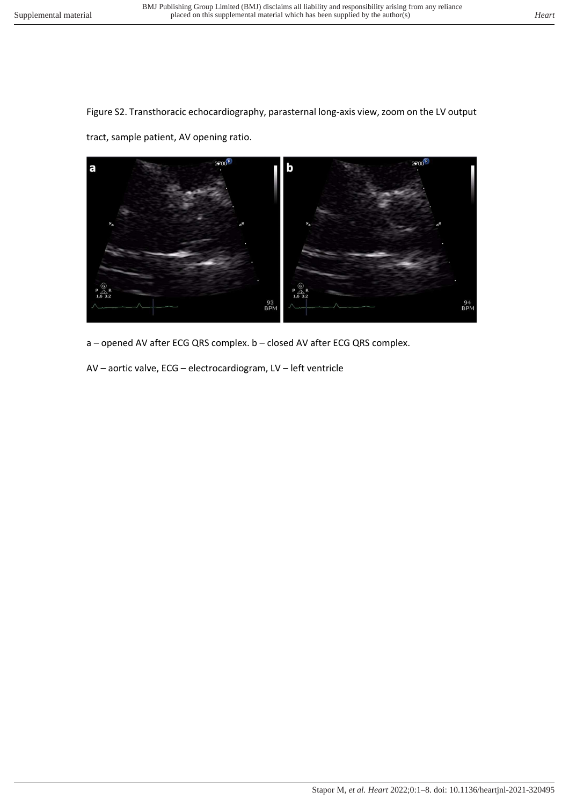Figure S2. Transthoracic echocardiography, parasternal long-axis view, zoom on the LV output

tract, sample patient, AV opening ratio.



a – opened AV after ECG QRS complex. b – closed AV after ECG QRS complex.

AV – aortic valve, ECG – electrocardiogram, LV – left ventricle